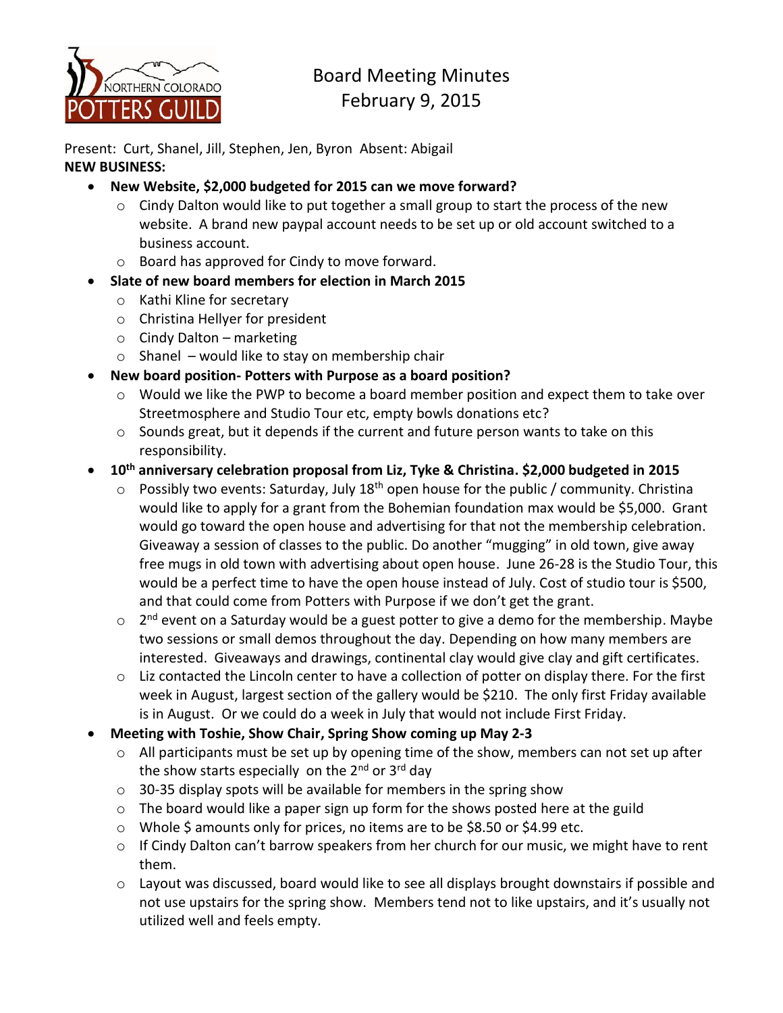

# Board Meeting Minutes February 9, 2015

Present: Curt, Shanel, Jill, Stephen, Jen, Byron Absent: Abigail **NEW BUSINESS:**

- **New Website, \$2,000 budgeted for 2015 can we move forward?**
	- $\circ$  Cindy Dalton would like to put together a small group to start the process of the new website. A brand new paypal account needs to be set up or old account switched to a business account.
	- o Board has approved for Cindy to move forward.
- **Slate of new board members for election in March 2015**
	- o Kathi Kline for secretary
	- o Christina Hellyer for president
	- o Cindy Dalton marketing
	- $\circ$  Shanel would like to stay on membership chair
- **New board position- Potters with Purpose as a board position?**
	- o Would we like the PWP to become a board member position and expect them to take over Streetmosphere and Studio Tour etc, empty bowls donations etc?
	- $\circ$  Sounds great, but it depends if the current and future person wants to take on this responsibility.
- **10th anniversary celebration proposal from Liz, Tyke & Christina. \$2,000 budgeted in 2015**
	- $\circ$  Possibly two events: Saturday, July 18<sup>th</sup> open house for the public / community. Christina would like to apply for a grant from the Bohemian foundation max would be \$5,000. Grant would go toward the open house and advertising for that not the membership celebration. Giveaway a session of classes to the public. Do another "mugging" in old town, give away free mugs in old town with advertising about open house. June 26-28 is the Studio Tour, this would be a perfect time to have the open house instead of July. Cost of studio tour is \$500, and that could come from Potters with Purpose if we don't get the grant.
	- 2<sup>nd</sup> event on a Saturday would be a guest potter to give a demo for the membership. Maybe two sessions or small demos throughout the day. Depending on how many members are interested. Giveaways and drawings, continental clay would give clay and gift certificates.
	- o Liz contacted the Lincoln center to have a collection of potter on display there. For the first week in August, largest section of the gallery would be \$210. The only first Friday available is in August. Or we could do a week in July that would not include First Friday.
- **Meeting with Toshie, Show Chair, Spring Show coming up May 2-3**
	- o All participants must be set up by opening time of the show, members can not set up after the show starts especially on the  $2^{nd}$  or  $3^{rd}$  day
	- $\circ$  30-35 display spots will be available for members in the spring show
	- o The board would like a paper sign up form for the shows posted here at the guild
	- o Whole \$ amounts only for prices, no items are to be \$8.50 or \$4.99 etc.
	- o If Cindy Dalton can't barrow speakers from her church for our music, we might have to rent them.
	- o Layout was discussed, board would like to see all displays brought downstairs if possible and not use upstairs for the spring show. Members tend not to like upstairs, and it's usually not utilized well and feels empty.